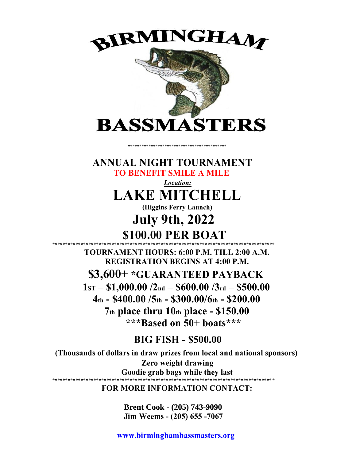

**ANNUAL NIGHT TOURNAMENT TO BENEFIT SMILE A MILE**

> *Location:* **LAKE MITCHELL**

**(Higgins Ferry Launch)**

**July 9th, 2022 \$100.00 PER BOAT**

**\*\*\*\*\*\*\*\*\*\*\*\*\*\*\*\*\*\*\*\*\*\*\*\*\*\*\*\*\*\*\*\*\*\*\*\*\*\*\*\*\*\*\*\*\*\*\*\*\*\*\*\*\*\*\*\*\*\*\*\*\*\*\*\*\*\*\*\*\*\*\*\*\*\*\*\*\*\*\*\*\*\*\*\*\*\* TOURNAMENT HOURS: 6:00 P.M. TILL 2:00 A.M. REGISTRATION BEGINS AT 4:00 P.M. \$3,600+ \*GUARANTEED PAYBACK 1ST – \$1,000.00 /2nd – \$600.00 /3rd – \$500.00 4th - \$400.00 /5th - \$300.00/6th - \$200.00 7th place thru 10th place - \$150.00 \*\*\*Based on 50+ boats\*\*\***

## **BIG FISH - \$500.00**

**(Thousands of dollars in draw prizes from local and national sponsors) Zero weight drawing Goodie grab bags while they last \*\*\*\*\*\*\*\*\*\*\*\*\*\*\*\*\*\*\*\*\*\*\*\*\*\*\*\*\*\*\*\*\*\*\*\*\*\*\*\*\*\*\*\*\*\*\*\*\*\*\*\*\*\*\*\*\*\*\*\*\*\*\*\*\*\*\*\*\*\*\*\*\*\*\*\*\*\*\*\*\*\*\*\*\* \***

**FOR MORE INFORMATION CONTACT:**

**Brent Cook - (205) 743-9090 Jim Weems - (205) 655 -7067**

**www.birminghambassmasters.org**